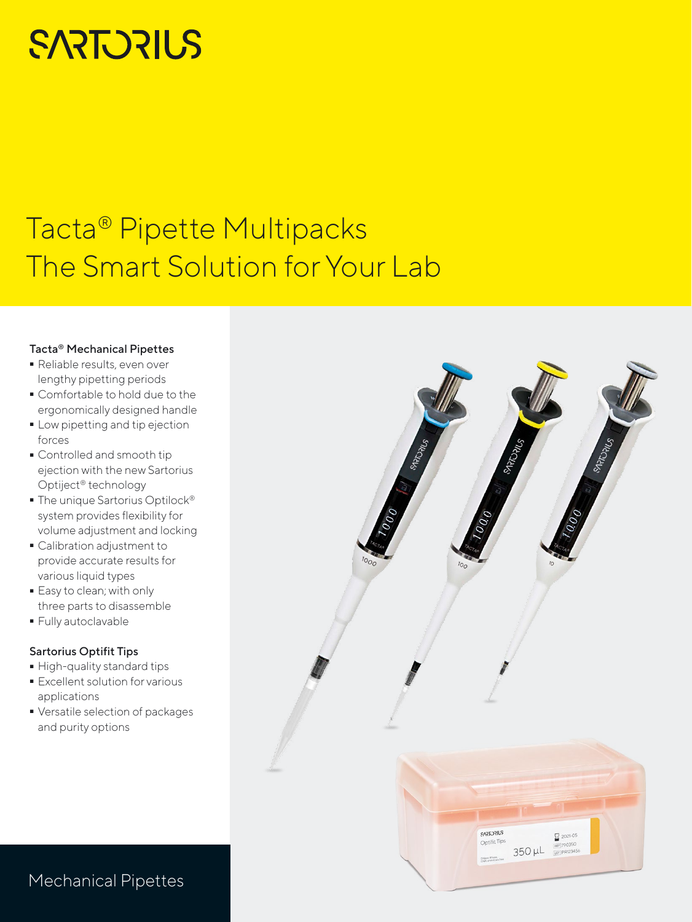# **SARTORIUS**

## Tacta® Pipette Multipacks The Smart Solution for Your Lab

### Tacta® Mechanical Pipettes

- Reliable results, even over lengthy pipetting periods
- Comfortable to hold due to the ergonomically designed handle
- Low pipetting and tip ejection<br>forces<br>• Controlled and smooth tip forces
- Controlled and smooth tip ejection with the new Sartorius Optiject® technology
- The unique Sartorius Optilock® system provides flexibility for volume adjustment and locking
- Calibration adjustment to provide accurate results for various liquid types
- Easy to clean; with only three parts to disassemble
- Fully autoclavable

## Sartorius Optifit Tips

- 
- High-quality standard tips - Excellent solution for various applications
- Versatile selection of packages and purity options



## Mechanical Pipettes